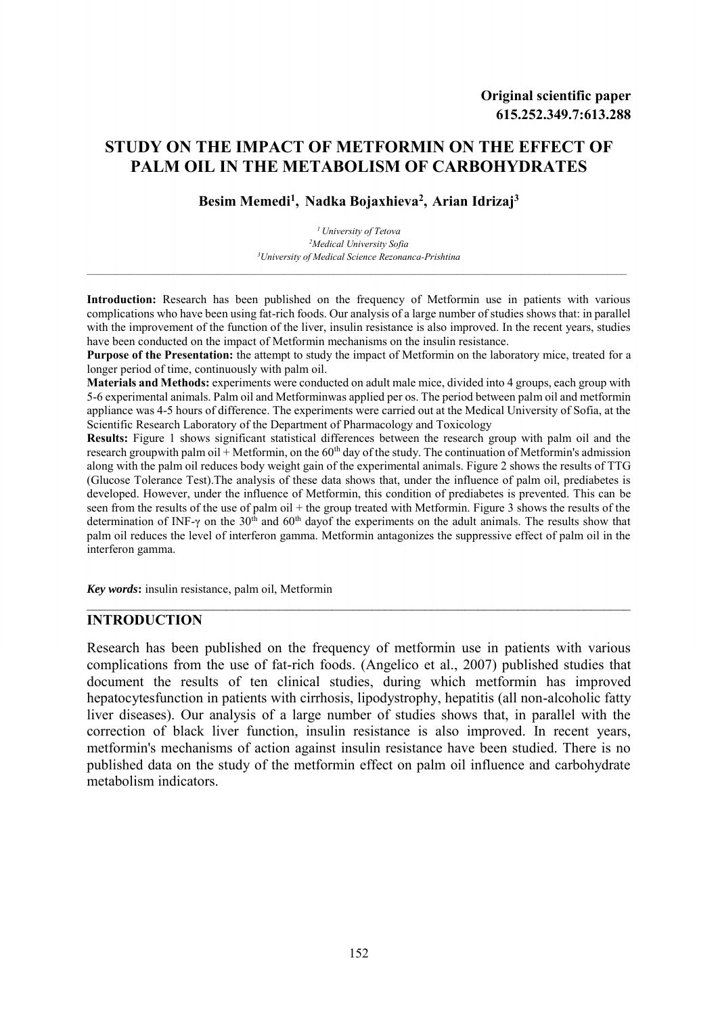# **STUDY ON THE IMPACT OF METFORMIN ON THE EFFECT OF PALM OIL IN THE METABOLISM OF CARBOHYDRATES**

**Besim Memedi<sup>1</sup> , Nadka Bojaxhieva<sup>2</sup> , Arian Idrizaj<sup>3</sup>**

*<sup>1</sup>University of Tetova <sup>2</sup>Medical University Sofia <sup>3</sup>University of Medical Science Rezonanca-Prishtina*

\_\_\_\_\_\_\_\_\_\_\_\_\_\_\_\_\_\_\_\_\_\_\_\_\_\_\_\_\_\_\_\_\_\_\_\_\_\_\_\_\_\_\_\_\_\_\_\_\_\_\_\_\_\_\_\_\_\_\_\_\_\_\_\_\_\_\_\_\_\_\_\_\_\_\_\_\_\_\_\_\_\_\_\_\_\_\_\_\_\_\_\_\_\_\_\_\_\_\_\_\_\_\_\_\_\_\_\_\_\_\_\_

**Introduction:** Research has been published on the frequency of Metformin use in patients with various complications who have been using fat-rich foods. Our analysis of a large number of studies shows that: in parallel with the improvement of the function of the liver, insulin resistance is also improved. In the recent years, studies have been conducted on the impact of Metformin mechanisms on the insulin resistance.

**Purpose of the Presentation:** the attempt to study the impact of Metformin on the laboratory mice, treated for a longer period of time, continuously with palm oil.

**Materials and Methods:** experiments were conducted on adult male mice, divided into 4 groups, each group with 5-6 experimental animals. Palm oil and Metforminwas applied per os. The period between palm oil and metformin appliance was 4-5 hours of difference. The experiments were carried out at the Medical University of Sofia, at the Scientific Research Laboratory of the Department of Pharmacology and Toxicology

**Results:** Figure 1 shows significant statistical differences between the research group with palm oil and the research groupwith palm oil + Metformin, on the  $60<sup>th</sup>$  day of the study. The continuation of Metformin's admission along with the palm oil reduces body weight gain of the experimental animals. Figure 2 shows the results of TTG (Glucose Tolerance Test).The analysis of these data shows that, under the influence of palm oil, prediabetes is developed. However, under the influence of Metformin, this condition of prediabetes is prevented. This can be seen from the results of the use of palm oil + the group treated with Metformin. Figure 3 shows the results of the determination of INF- $\gamma$  on the 30<sup>th</sup> and 60<sup>th</sup> dayof the experiments on the adult animals. The results show that palm oil reduces the level of interferon gamma. Metformin antagonizes the suppressive effect of palm oil in the interferon gamma.

*Key words***:** insulin resistance, palm oil, Metformin

### **INTRODUCTION**

Research has been published on the frequency of metformin use in patients with various complications from the use of fat-rich foods. (Angelico et al., 2007) published studies that document the results of ten clinical studies, during which metformin has improved hepatocytesfunction in patients with cirrhosis, lipodystrophy, hepatitis (all non-alcoholic fatty liver diseases). Our analysis of a large number of studies shows that, in parallel with the correction of black liver function, insulin resistance is also improved. In recent years, metformin's mechanisms of action against insulin resistance have been studied. There is no published data on the study of the metformin effect on palm oil influence and carbohydrate metabolism indicators.

\_\_\_\_\_\_\_\_\_\_\_\_\_\_\_\_\_\_\_\_\_\_\_\_\_\_\_\_\_\_\_\_\_\_\_\_\_\_\_\_\_\_\_\_\_\_\_\_\_\_\_\_\_\_\_\_\_\_\_\_\_\_\_\_\_\_\_\_\_\_\_\_\_\_\_\_\_\_\_\_\_\_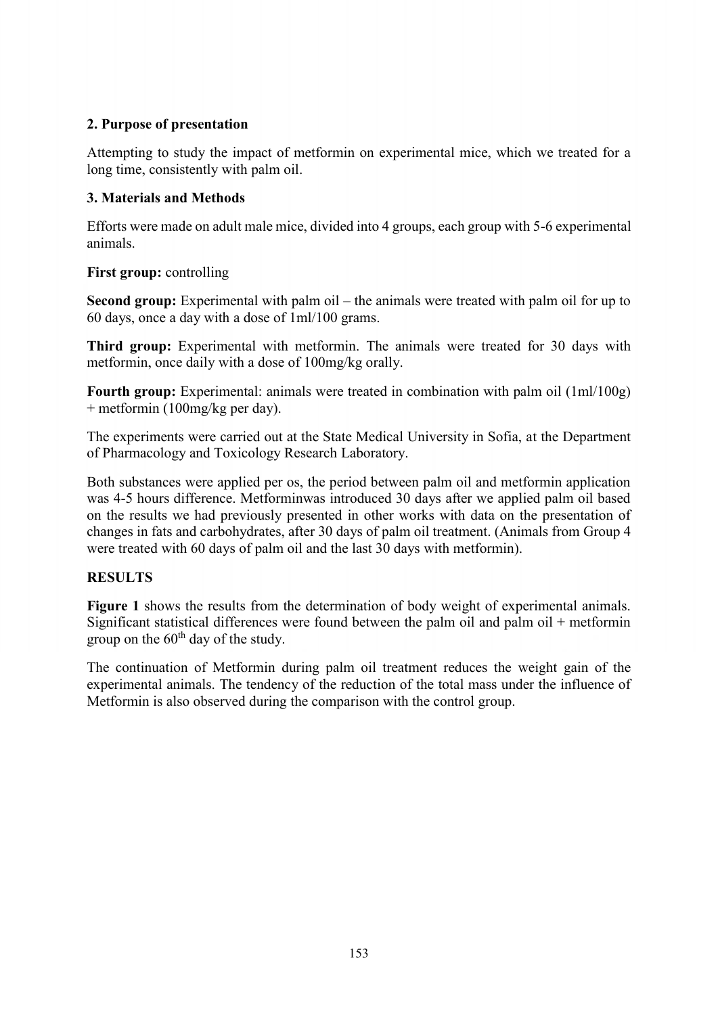# **2. Purpose of presentation**

Attempting to study the impact of metformin on experimental mice, which we treated for a long time, consistently with palm oil.

# **3. Materials and Methods**

Efforts were made on adult male mice, divided into 4 groups, each group with 5-6 experimental animals.

# **First group:** controlling

**Second group:** Experimental with palm oil – the animals were treated with palm oil for up to 60 days, once a day with a dose of 1ml/100 grams.

**Third group:** Experimental with metformin. The animals were treated for 30 days with metformin, once daily with a dose of 100mg/kg orally.

**Fourth group:** Experimental: animals were treated in combination with palm oil (1ml/100g) + metformin (100mg/kg per day).

The experiments were carried out at the State Medical University in Sofia, at the Department of Pharmacology and Toxicology Research Laboratory.

Both substances were applied per os, the period between palm oil and metformin application was 4-5 hours difference. Metforminwas introduced 30 days after we applied palm oil based on the results we had previously presented in other works with data on the presentation of changes in fats and carbohydrates, after 30 days of palm oil treatment. (Animals from Group 4 were treated with 60 days of palm oil and the last 30 days with metformin).

# **RESULTS**

**Figure 1** shows the results from the determination of body weight of experimental animals. Significant statistical differences were found between the palm oil and palm oil + metformin group on the  $60<sup>th</sup>$  day of the study.

The continuation of Metformin during palm oil treatment reduces the weight gain of the experimental animals. The tendency of the reduction of the total mass under the influence of Metformin is also observed during the comparison with the control group.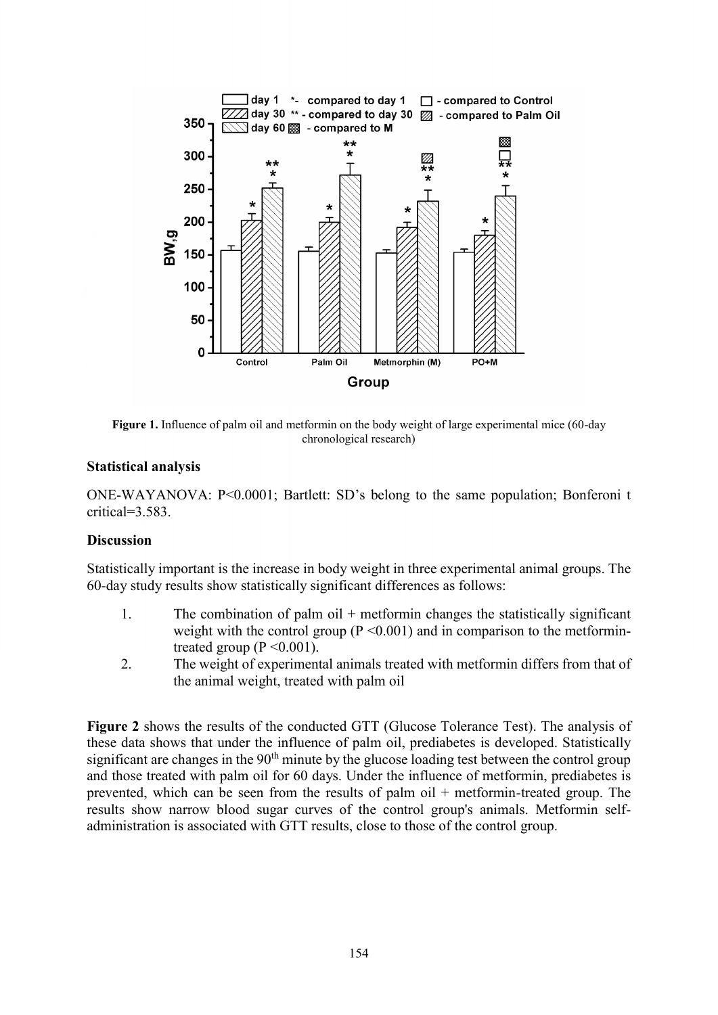

**Figure 1.** Influence of palm oil and metformin on the body weight of large experimental mice (60-day chronological research)

#### **Statistical analysis**

ONE-WAYANOVA: P<0.0001; Bartlett: SD's belong to the same population; Bonferoni t critical=3.583.

#### **Discussion**

Statistically important is the increase in body weight in three experimental animal groups. The 60-day study results show statistically significant differences as follows:

- 1. The combination of palm oil  $+$  metformin changes the statistically significant weight with the control group ( $P \le 0.001$ ) and in comparison to the metformintreated group  $(P \le 0.001)$ .
- 2. The weight of experimental animals treated with metformin differs from that of the animal weight, treated with palm oil

**Figure 2** shows the results of the conducted GTT (Glucose Tolerance Test). The analysis of these data shows that under the influence of palm oil, prediabetes is developed. Statistically significant are changes in the  $90<sup>th</sup>$  minute by the glucose loading test between the control group and those treated with palm oil for 60 days. Under the influence of metformin, prediabetes is prevented, which can be seen from the results of palm oil + metformin-treated group. The results show narrow blood sugar curves of the control group's animals. Metformin selfadministration is associated with GTT results, close to those of the control group.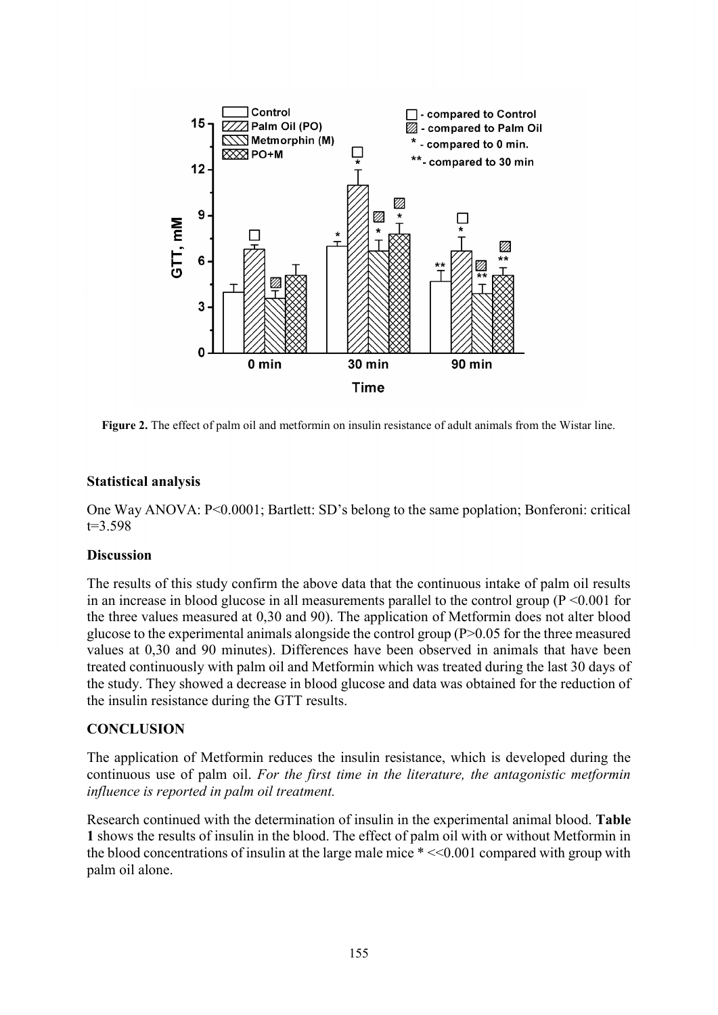

**Figure 2.** The effect of palm oil and metformin on insulin resistance of adult animals from the Wistar line.

### **Statistical analysis**

One Way ANOVA: P<0.0001; Bartlett: SD's belong to the same poplation; Bonferoni: critical t=3.598

### **Discussion**

The results of this study confirm the above data that the continuous intake of palm oil results in an increase in blood glucose in all measurements parallel to the control group ( $P \le 0.001$  for the three values measured at 0,30 and 90). The application of Metformin does not alter blood glucose to the experimental animals alongside the control group (P>0.05 for the three measured values at 0,30 and 90 minutes). Differences have been observed in animals that have been treated continuously with palm oil and Metformin which was treated during the last 30 days of the study. They showed a decrease in blood glucose and data was obtained for the reduction of the insulin resistance during the GTT results.

### **CONCLUSION**

The application of Metformin reduces the insulin resistance, which is developed during the continuous use of palm oil. *For the first time in the literature, the antagonistic metformin influence is reported in palm oil treatment.*

Research continued with the determination of insulin in the experimental animal blood. **Table 1** shows the results of insulin in the blood. The effect of palm oil with or without Metformin in the blood concentrations of insulin at the large male mice  $\ast$  <<0.001 compared with group with palm oil alone.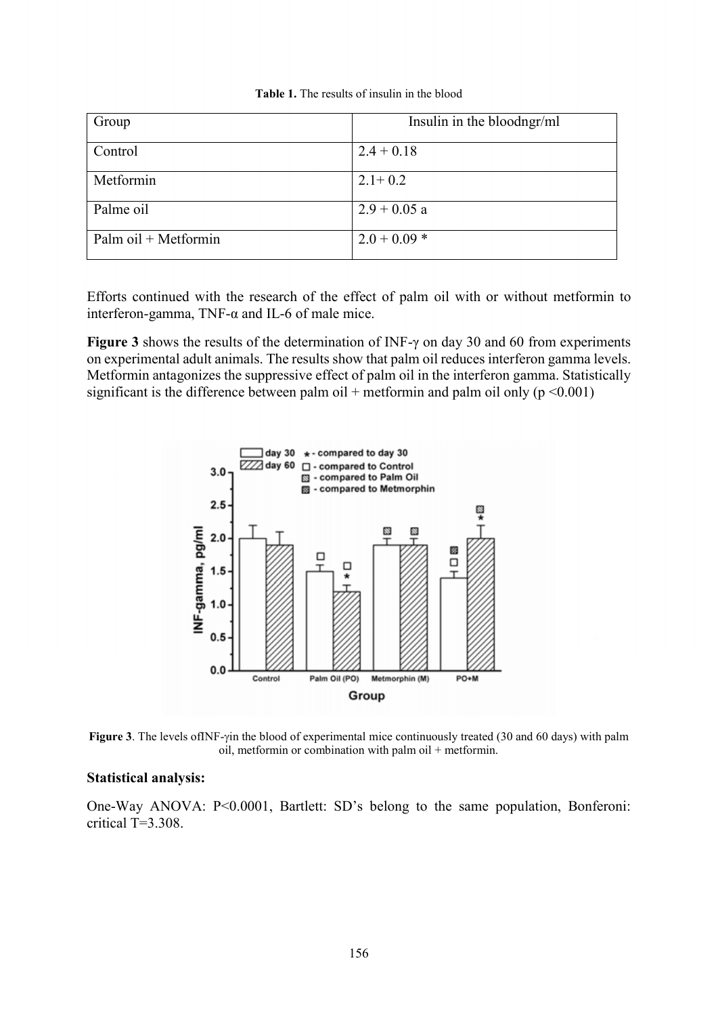| Group                | Insulin in the bloodngr/ml |
|----------------------|----------------------------|
| Control              | $2.4 + 0.18$               |
| Metformin            | $2.1 + 0.2$                |
| Palme oil            | $2.9 + 0.05$ a             |
| Palm oil + Metformin | $2.0 + 0.09*$              |

| <b>Table 1.</b> The results of insulin in the blood |  |  |  |
|-----------------------------------------------------|--|--|--|
|-----------------------------------------------------|--|--|--|

Efforts continued with the research of the effect of palm oil with or without metformin to interferon-gamma, TNF-α and IL-6 of male mice.

**Figure 3** shows the results of the determination of INF-γ on day 30 and 60 from experiments on experimental adult animals. The results show that palm oil reduces interferon gamma levels. Metformin antagonizes the suppressive effect of palm oil in the interferon gamma. Statistically significant is the difference between palm oil + metformin and palm oil only ( $p \le 0.001$ )



**Figure 3**. The levels of INF-yin the blood of experimental mice continuously treated (30 and 60 days) with palm oil, metformin or combination with palm oil + metformin.

#### **Statistical analysis:**

One-Way ANOVA: P<0.0001, Bartlett: SD's belong to the same population, Bonferoni: critical T=3.308.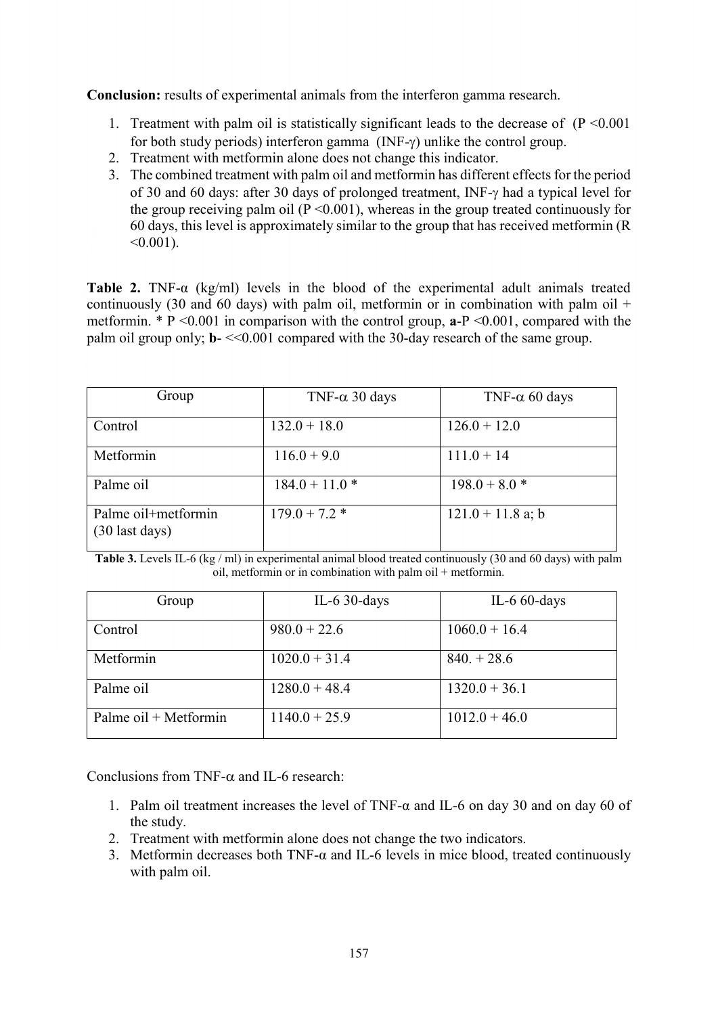**Conclusion:** results of experimental animals from the interferon gamma research.

- 1. Treatment with palm oil is statistically significant leads to the decrease of  $(P \le 0.001)$ for both study periods) interferon gamma ( $INF-\gamma$ ) unlike the control group.
- 2. Treatment with metformin alone does not change this indicator.
- 3. The combined treatment with palm oil and metformin has different effects for the period of 30 and 60 days: after 30 days of prolonged treatment, INF- $\gamma$  had a typical level for the group receiving palm oil ( $P \le 0.001$ ), whereas in the group treated continuously for 60 days, this level is approximately similar to the group that has received metformin (R  $< 0.001$ ).

**Table 2.** TNF-α (kg/ml) levels in the blood of the experimental adult animals treated continuously (30 and 60 days) with palm oil, metformin or in combination with palm oil  $+$ metformin. \* Р <0.001 in comparison with the control group, **а**-Р <0.001, compared with the palm oil group only;  $\mathbf{b}$ - $\leq 0.001$  compared with the 30-day research of the same group.

| Group                                 | TNF- $\alpha$ 30 days | TNF- $\alpha$ 60 days |
|---------------------------------------|-----------------------|-----------------------|
| Control                               | $132.0 + 18.0$        | $126.0 + 12.0$        |
| Metformin                             | $116.0 + 9.0$         | $111.0 + 14$          |
| Palme oil                             | $184.0 + 11.0*$       | $198.0 + 8.0$ *       |
| Palme oil+metformin<br>(30 last days) | $179.0 + 7.2$ *       | $121.0 + 11.8$ a; b   |

**Table 3.** Levels IL-6 (kg / ml) in experimental animal blood treated continuously (30 and 60 days) with palm oil, metformin or in combination with palm oil + metformin.

| Group                 | IL-6 $30$ -days | IL-6 $60$ -days |
|-----------------------|-----------------|-----------------|
| Control               | $980.0 + 22.6$  | $1060.0 + 16.4$ |
| Metformin             | $1020.0 + 31.4$ | $840. + 28.6$   |
| Palme oil             | $1280.0 + 48.4$ | $1320.0 + 36.1$ |
| Palme oil + Metformin | $1140.0 + 25.9$ | $1012.0 + 46.0$ |

Conclusions from TNF- $\alpha$  and IL-6 research:

- 1. Palm oil treatment increases the level of TNF-α and IL-6 on day 30 and on day 60 of the study.
- 2. Treatment with metformin alone does not change the two indicators.
- 3. Metformin decreases both TNF-α and IL-6 levels in mice blood, treated continuously with palm oil.